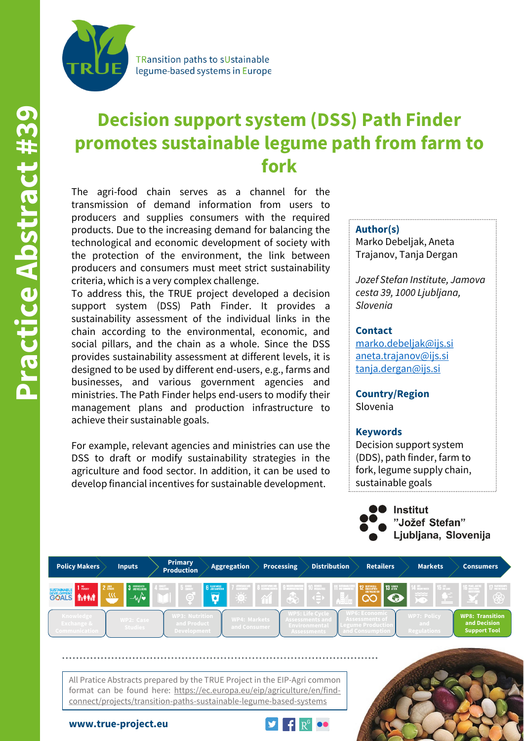

TRansition paths to sUstainable legume-based systems in Europe

# **Decision support system (DSS) Path Finder promotes sustainable legume path from farm to fork**

The agri-food chain serves as a channel for the transmission of demand information from users to producers and supplies consumers with the required products. Due to the increasing demand for balancing the technological and economic development of society with the protection of the environment, the link between producers and consumers must meet strict sustainability criteria, which is a very complex challenge.

To address this, the TRUE project developed a decision support system (DSS) Path Finder. It provides a sustainability assessment of the individual links in the chain according to the environmental, economic, and social pillars, and the chain as a whole. Since the DSS provides sustainability assessment at different levels, it is designed to be used by different end-users, e.g., farms and businesses, and various government agencies and ministries. The Path Finder helps end-users to modify their management plans and production infrastructure to achieve their sustainable goals.

For example, relevant agencies and ministries can use the DSS to draft or modify sustainability strategies in the agriculture and food sector. In addition, it can be used to develop financial incentives for sustainable development.

#### **Author(s)**

Marko Debeljak, Aneta Trajanov, Tanja Dergan

*Jozef Stefan Institute, Jamova cesta 39, 1000 Ljubljana, Slovenia*

#### **Contact**

[marko.debeljak@ijs.si](mailto:marko.debeljak@ijs.si) [aneta.trajanov@ijs.si](mailto:aneta.trajanov@ijs.si) [tanja.dergan@ijs.si](mailto:tanja.dergan@ijs.si)

**Country/Region** Slovenia

#### **Keywords**

Decision support system (DDS), path finder, farm to fork, legume supply chain, sustainable goals



| <b>Policy Makers</b>                                       | <b>Inputs</b>               | <b>Primary</b><br><b>Production</b>                        | <b>Aggregation</b>                  | <b>Processing</b> | <b>Distribution</b>                                                                                                                                                                                                                                                                                                                                                                                             | <b>Retailers</b>                                                             | <b>Markets</b>                             | <b>Consumers</b>                                              |
|------------------------------------------------------------|-----------------------------|------------------------------------------------------------|-------------------------------------|-------------------|-----------------------------------------------------------------------------------------------------------------------------------------------------------------------------------------------------------------------------------------------------------------------------------------------------------------------------------------------------------------------------------------------------------------|------------------------------------------------------------------------------|--------------------------------------------|---------------------------------------------------------------|
| 2 課題<br>SUSTAINABLE FORM<br>$\omega$                       | 3 GOOD HEALTH<br>$-M$       | <b>All Service</b>                                         | <b>6</b> CLEAN WATER<br>ست          |                   | <b>1</b> SUSTAINABLE CITED<br>1 AND COMMUNITIES<br>$\frac{1}{2}$ $\frac{1}{2}$ $\frac{1}{2}$ $\frac{1}{2}$ $\frac{1}{2}$ $\frac{1}{2}$ $\frac{1}{2}$ $\frac{1}{2}$ $\frac{1}{2}$ $\frac{1}{2}$ $\frac{1}{2}$ $\frac{1}{2}$ $\frac{1}{2}$ $\frac{1}{2}$ $\frac{1}{2}$ $\frac{1}{2}$ $\frac{1}{2}$ $\frac{1}{2}$ $\frac{1}{2}$ $\frac{1}{2}$ $\frac{1}{2}$ $\frac{1}{2}$<br><b>、△∰</b><br>$\left( \equiv \right)$ | <b>13 SCHOOL</b><br>12 ESPONSBLE                                             | <b>14 BERNAUER</b><br>$rac{1}{2}$          | 7 PALTMERSHIPS<br>8<br>$-$                                    |
| Knowledge<br><b>Exchange &amp;</b><br><b>Communication</b> | WP2: Case<br><b>Studies</b> | <b>WP3: Nutrition</b><br>and Product<br><b>Development</b> | <b>WP4: Markets</b><br>and Consumer |                   | <b>WP5: Life Cycle</b><br>Assessments and<br>Environmental<br>Assessments                                                                                                                                                                                                                                                                                                                                       | <b>NP6: Economic</b><br>Assessments of<br>egume Productio<br>and Consumption | <b>WP7: Policy</b><br>and -<br>Regulations | <b>WP8: Transition</b><br>and Decision<br><b>Support Tool</b> |

All Pratice Abstracts prepared by the TRUE Project in the EIP-Agri common format can be found here: https://ec.europa.eu/eip/agriculture/en/findconnect/projects/transition-paths-sustainable-legume-based-systems

**www.true-project.eu**